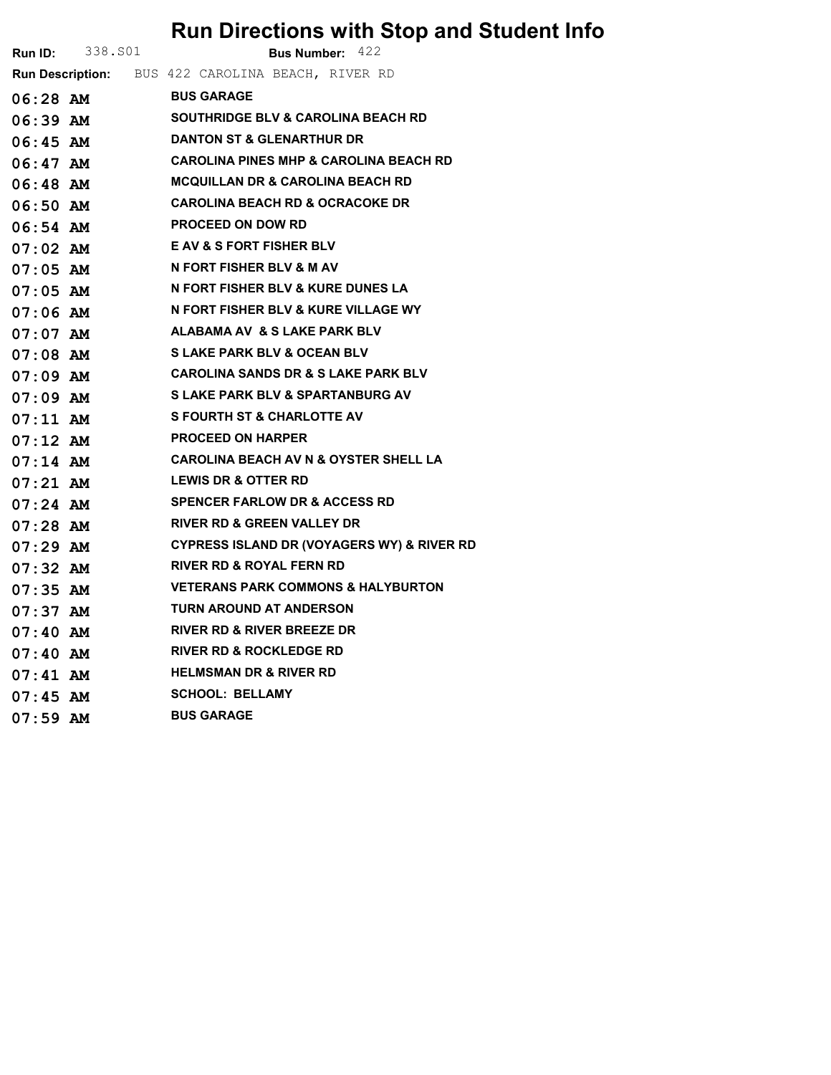## Run Directions with Stop and Student Info

|            | <b>Run ID:</b> 338. S01 | <b>Bus Number: 422</b>                            |
|------------|-------------------------|---------------------------------------------------|
|            |                         | Run Description: BUS 422 CAROLINA BEACH, RIVER RD |
| 06:28 AM   |                         | <b>BUS GARAGE</b>                                 |
| 06:39 AM   |                         | <b>SOUTHRIDGE BLV &amp; CAROLINA BEACH RD</b>     |
| 06:45 AM   |                         | <b>DANTON ST &amp; GLENARTHUR DR</b>              |
|            | 06:47 AM                | <b>CAROLINA PINES MHP &amp; CAROLINA BEACH RD</b> |
|            | 06:48 AM                | <b>MCQUILLAN DR &amp; CAROLINA BEACH RD</b>       |
| $06:50$ AM |                         | <b>CAROLINA BEACH RD &amp; OCRACOKE DR</b>        |
|            | 06:54 AM                | <b>PROCEED ON DOW RD</b>                          |
| 07:02 AM   |                         | <b>E AV &amp; S FORT FISHER BLV</b>               |
| 07:05 AM   |                         | N FORT FISHER BLV & M AV                          |
|            | 07:05 AM                | N FORT FISHER BLV & KURE DUNES LA                 |
|            | 07:06 AM                | N FORT FISHER BLV & KURE VILLAGE WY               |
| 07:07 AM   |                         | ALABAMA AV  & S LAKE PARK BLV                     |
|            | 07:08 AM                | S LAKE PARK BLV & OCEAN BLV                       |
| 07:09 AM   |                         | <b>CAROLINA SANDS DR &amp; S LAKE PARK BLV</b>    |
| 07:09 AM   |                         | S LAKE PARK BLV & SPARTANBURG AV                  |
|            | 07:11 AM                | <b>S FOURTH ST &amp; CHARLOTTE AV</b>             |
|            | $07:12$ AM              | <b>PROCEED ON HARPER</b>                          |
| $07:14$ AM |                         | <b>CAROLINA BEACH AV N &amp; OYSTER SHELL LA</b>  |
| 07:21 AM   |                         | <b>LEWIS DR &amp; OTTER RD</b>                    |
| $07:24$ AM |                         | <b>SPENCER FARLOW DR &amp; ACCESS RD</b>          |
| $07:28$ AM |                         | <b>RIVER RD &amp; GREEN VALLEY DR</b>             |
|            | $07:29$ AM              | CYPRESS ISLAND DR (VOYAGERS WY) & RIVER RD        |
| 07:32 AM   |                         | RIVER RD & ROYAL FERN RD                          |
| $07:35$ AM |                         | <b>VETERANS PARK COMMONS &amp; HALYBURTON</b>     |
| 07:37 AM   |                         | TURN AROUND AT ANDERSON                           |
|            |                         | RIVER RD & RIVER BREEZE DR                        |
| 07:40 AM   |                         | <b>RIVER RD &amp; ROCKLEDGE RD</b>                |
| 07:41 AM   |                         | <b>HELMSMAN DR &amp; RIVER RD</b>                 |
| $07:45$ AM |                         | <b>SCHOOL: BELLAMY</b>                            |
| $07:59$ AM |                         | <b>BUS GARAGE</b>                                 |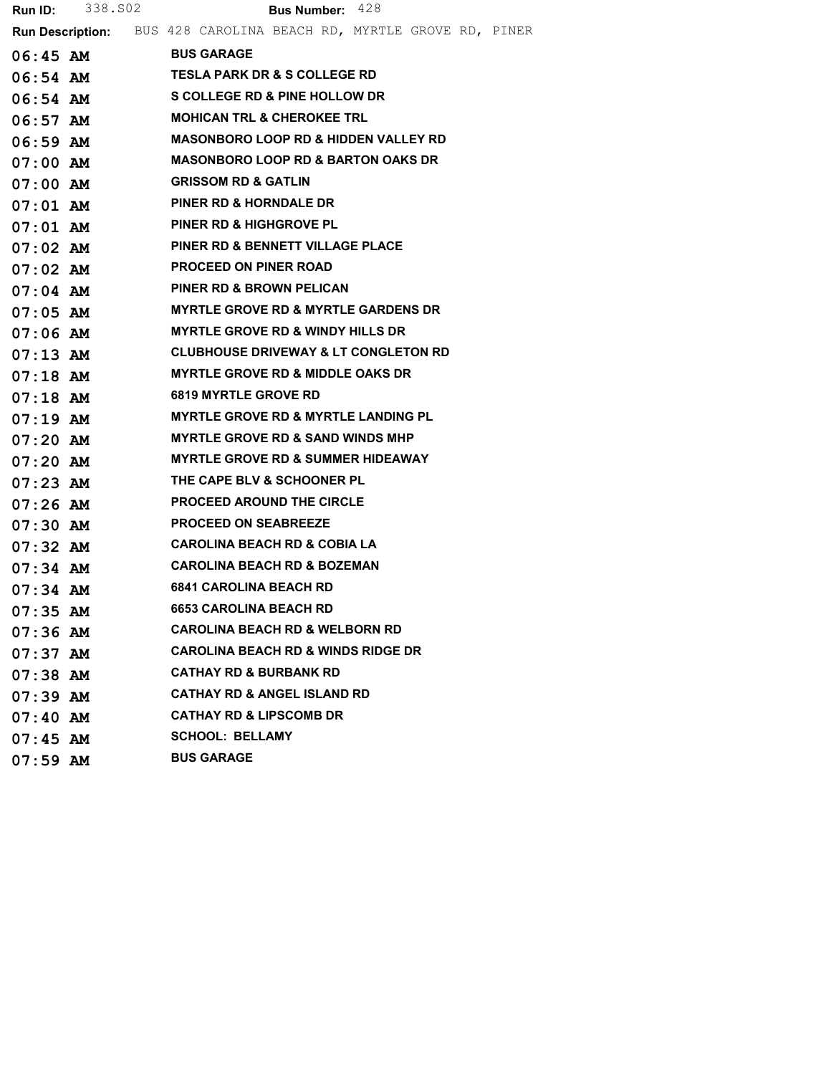|            | <b>Run ID:</b> 338.502                   | <b>Bus Number: 428</b>                                                    |  |  |  |  |  |  |  |  |
|------------|------------------------------------------|---------------------------------------------------------------------------|--|--|--|--|--|--|--|--|
|            |                                          | <b>Run Description:</b> BUS 428 CAROLINA BEACH RD, MYRTLE GROVE RD, PINER |  |  |  |  |  |  |  |  |
|            | $06:45$ AM                               | <b>BUS GARAGE</b>                                                         |  |  |  |  |  |  |  |  |
| 06:54 AM   |                                          | <b>TESLA PARK DR &amp; S COLLEGE RD</b>                                   |  |  |  |  |  |  |  |  |
| $06:54$ AM | <b>S COLLEGE RD &amp; PINE HOLLOW DR</b> |                                                                           |  |  |  |  |  |  |  |  |
| 06:57 AM   |                                          | <b>MOHICAN TRL &amp; CHEROKEE TRL</b>                                     |  |  |  |  |  |  |  |  |
| 06:59 AM   |                                          | <b>MASONBORO LOOP RD &amp; HIDDEN VALLEY RD</b>                           |  |  |  |  |  |  |  |  |
| $07:00$ AM |                                          | <b>MASONBORO LOOP RD &amp; BARTON OAKS DR</b>                             |  |  |  |  |  |  |  |  |
| $07:00$ AM |                                          | <b>GRISSOM RD &amp; GATLIN</b>                                            |  |  |  |  |  |  |  |  |
| 07:01 AM   |                                          | <b>PINER RD &amp; HORNDALE DR</b>                                         |  |  |  |  |  |  |  |  |
|            | $07:01$ AM                               | <b>PINER RD &amp; HIGHGROVE PL</b>                                        |  |  |  |  |  |  |  |  |
| $07:02$ AM |                                          | PINER RD & BENNETT VILLAGE PLACE                                          |  |  |  |  |  |  |  |  |
| $07:02$ AM |                                          | <b>PROCEED ON PINER ROAD</b>                                              |  |  |  |  |  |  |  |  |
| $07:04$ AM |                                          | <b>PINER RD &amp; BROWN PELICAN</b>                                       |  |  |  |  |  |  |  |  |
| 07:05 AM   |                                          | <b>MYRTLE GROVE RD &amp; MYRTLE GARDENS DR</b>                            |  |  |  |  |  |  |  |  |
| 07:06 AM   |                                          | <b>MYRTLE GROVE RD &amp; WINDY HILLS DR</b>                               |  |  |  |  |  |  |  |  |
| 07:13 AM   |                                          | <b>CLUBHOUSE DRIVEWAY &amp; LT CONGLETON RD</b>                           |  |  |  |  |  |  |  |  |
| $07:18$ AM |                                          | MYRTLE GROVE RD & MIDDLE OAKS DR                                          |  |  |  |  |  |  |  |  |
| 07:18 AM   |                                          | <b>6819 MYRTLE GROVE RD</b>                                               |  |  |  |  |  |  |  |  |
| $07:19$ AM |                                          | <b>MYRTLE GROVE RD &amp; MYRTLE LANDING PL</b>                            |  |  |  |  |  |  |  |  |
| $07:20$ AM |                                          | <b>MYRTLE GROVE RD &amp; SAND WINDS MHP</b>                               |  |  |  |  |  |  |  |  |
| $07:20$ AM |                                          | <b>MYRTLE GROVE RD &amp; SUMMER HIDEAWAY</b>                              |  |  |  |  |  |  |  |  |
| $07:23$ AM |                                          | THE CAPE BLV & SCHOONER PL                                                |  |  |  |  |  |  |  |  |
| 07:26 AM   |                                          | <b>PROCEED AROUND THE CIRCLE</b>                                          |  |  |  |  |  |  |  |  |
| $07:30$ AM |                                          | <b>PROCEED ON SEABREEZE</b>                                               |  |  |  |  |  |  |  |  |
| 07:32 AM   |                                          | CAROLINA BEACH RD & COBIA LA                                              |  |  |  |  |  |  |  |  |
| $07:34$ AM |                                          | <b>CAROLINA BEACH RD &amp; BOZEMAN</b>                                    |  |  |  |  |  |  |  |  |
| $07:34$ AM |                                          | <b>6841 CAROLINA BEACH RD</b>                                             |  |  |  |  |  |  |  |  |
| $07:35$ AM |                                          | <b>6653 CAROLINA BEACH RD</b>                                             |  |  |  |  |  |  |  |  |
| $07:36$ AM |                                          | <b>CAROLINA BEACH RD &amp; WELBORN RD</b>                                 |  |  |  |  |  |  |  |  |
| $07:37$ AM |                                          | <b>CAROLINA BEACH RD &amp; WINDS RIDGE DR</b>                             |  |  |  |  |  |  |  |  |
| $07:38$ AM |                                          | <b>CATHAY RD &amp; BURBANK RD</b>                                         |  |  |  |  |  |  |  |  |
| $07:39$ AM |                                          | <b>CATHAY RD &amp; ANGEL ISLAND RD</b>                                    |  |  |  |  |  |  |  |  |
| $07:40$ AM |                                          | <b>CATHAY RD &amp; LIPSCOMB DR</b>                                        |  |  |  |  |  |  |  |  |
| $07:45$ AM |                                          | <b>SCHOOL: BELLAMY</b>                                                    |  |  |  |  |  |  |  |  |
| $07:59$ AM |                                          | <b>BUS GARAGE</b>                                                         |  |  |  |  |  |  |  |  |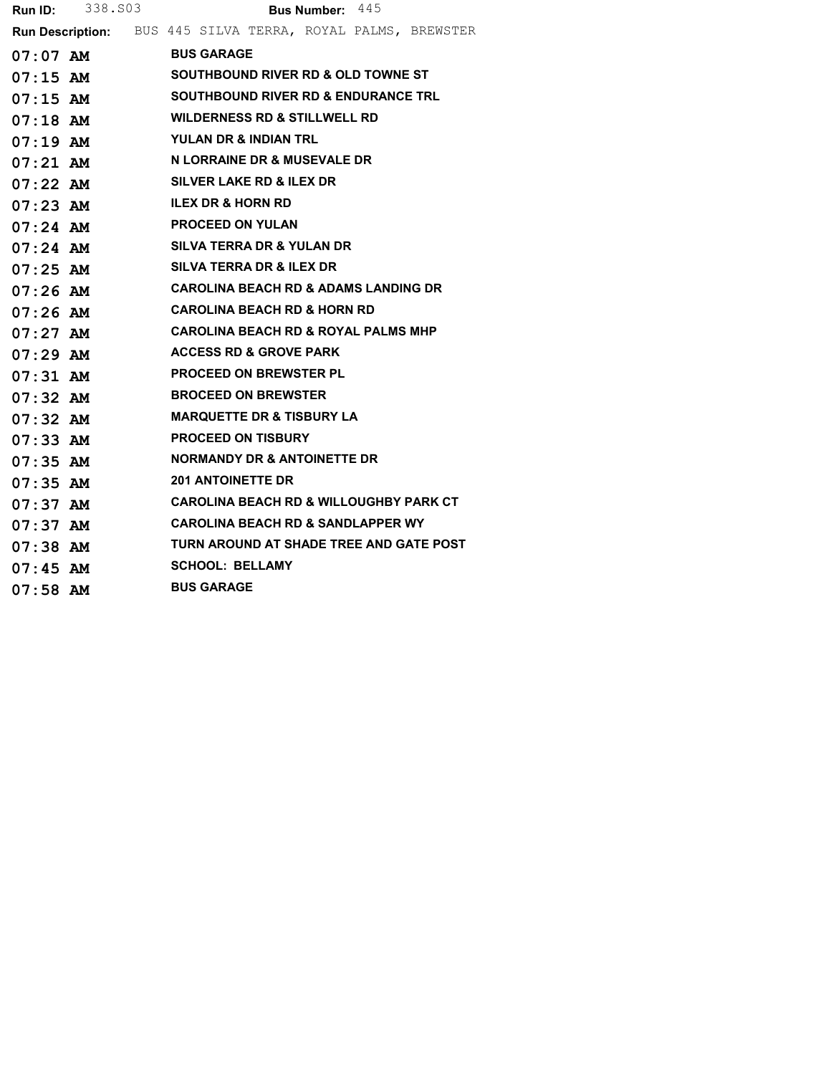|            | <b>Run ID:</b> 338.803 | Bus Number: 445                                             |  |  |  |  |  |  |
|------------|------------------------|-------------------------------------------------------------|--|--|--|--|--|--|
|            |                        | Run Description: BUS 445 SILVA TERRA, ROYAL PALMS, BREWSTER |  |  |  |  |  |  |
| 07:07 AM   |                        | <b>BUS GARAGE</b>                                           |  |  |  |  |  |  |
|            | $07:15$ AM             | <b>SOUTHBOUND RIVER RD &amp; OLD TOWNE ST</b>               |  |  |  |  |  |  |
|            | $07:15$ AM             | <b>SOUTHBOUND RIVER RD &amp; ENDURANCE TRL</b>              |  |  |  |  |  |  |
| 07:18 AM   |                        | <b>WILDERNESS RD &amp; STILLWELL RD</b>                     |  |  |  |  |  |  |
|            | $07:19$ AM             | YULAN DR & INDIAN TRL                                       |  |  |  |  |  |  |
|            | $07:21$ AM             | N LORRAINE DR & MUSEVALE DR                                 |  |  |  |  |  |  |
|            | $07:22$ AM             | SILVER LAKE RD & ILEX DR                                    |  |  |  |  |  |  |
|            | $07:23$ AM             | <b>ILEX DR &amp; HORN RD</b>                                |  |  |  |  |  |  |
|            | $07:24$ AM             | <b>PROCEED ON YULAN</b>                                     |  |  |  |  |  |  |
|            | $07:24$ AM             | SILVA TERRA DR & YULAN DR                                   |  |  |  |  |  |  |
|            | $07:25$ AM             | SILVA TERRA DR & ILEX DR                                    |  |  |  |  |  |  |
|            | $07:26$ AM             | <b>CAROLINA BEACH RD &amp; ADAMS LANDING DR</b>             |  |  |  |  |  |  |
| $07:26$ AM |                        | <b>CAROLINA BEACH RD &amp; HORN RD</b>                      |  |  |  |  |  |  |
|            | $07:27$ AM             | <b>CAROLINA BEACH RD &amp; ROYAL PALMS MHP</b>              |  |  |  |  |  |  |
| $07:29$ AM |                        | <b>ACCESS RD &amp; GROVE PARK</b>                           |  |  |  |  |  |  |
| $07:31$ AM |                        | <b>PROCEED ON BREWSTER PL</b>                               |  |  |  |  |  |  |
|            | $07:32$ AM             | <b>BROCEED ON BREWSTER</b>                                  |  |  |  |  |  |  |
| 07:32 AM   |                        | <b>MARQUETTE DR &amp; TISBURY LA</b>                        |  |  |  |  |  |  |
| $07:33$ AM |                        | <b>PROCEED ON TISBURY</b>                                   |  |  |  |  |  |  |
|            | $07:35$ AM             | NORMANDY DR & ANTOINETTE DR                                 |  |  |  |  |  |  |
| 07:35 AM   |                        | <b>201 ANTOINETTE DR</b>                                    |  |  |  |  |  |  |
| $07:37$ AM |                        | <b>CAROLINA BEACH RD &amp; WILLOUGHBY PARK CT</b>           |  |  |  |  |  |  |
| $07:37$ AM |                        | <b>CAROLINA BEACH RD &amp; SANDLAPPER WY</b>                |  |  |  |  |  |  |
| 07:38 AM   |                        | TURN AROUND AT SHADE TREE AND GATE POST                     |  |  |  |  |  |  |
| $07:45$ AM |                        | <b>SCHOOL: BELLAMY</b>                                      |  |  |  |  |  |  |
| $07:58$ AM |                        | <b>BUS GARAGE</b>                                           |  |  |  |  |  |  |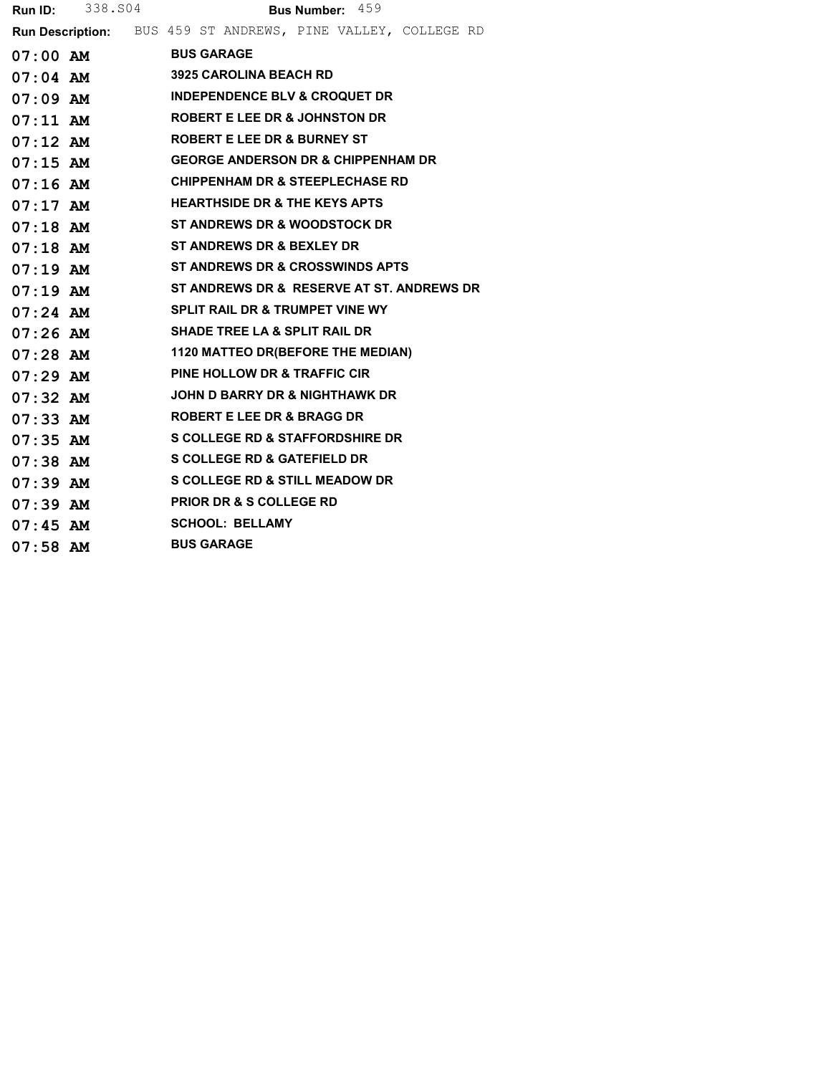|            | <b>Run ID:</b> 338.504 | Bus Number: 459                            |                                                              |  |  |  |  |
|------------|------------------------|--------------------------------------------|--------------------------------------------------------------|--|--|--|--|
|            |                        |                                            | Run Description: BUS 459 ST ANDREWS, PINE VALLEY, COLLEGE RD |  |  |  |  |
|            | 07:00 AM BUS GARAGE    |                                            |                                                              |  |  |  |  |
|            | $07:04$ AM             | <b>3925 CAROLINA BEACH RD</b>              |                                                              |  |  |  |  |
|            |                        |                                            | 07:09 AM INDEPENDENCE BLV & CROQUET DR                       |  |  |  |  |
|            |                        | 07:11 AM ROBERT E LEE DR & JOHNSTON DR     |                                                              |  |  |  |  |
|            | $07:12$ AM             | <b>ROBERT E LEE DR &amp; BURNEY ST</b>     |                                                              |  |  |  |  |
|            | $07:15$ AM             |                                            | <b>GEORGE ANDERSON DR &amp; CHIPPENHAM DR</b>                |  |  |  |  |
|            | $07:16$ AM             |                                            | <b>CHIPPENHAM DR &amp; STEEPLECHASE RD</b>                   |  |  |  |  |
|            |                        | 07:17 AM HEARTHSIDE DR & THE KEYS APTS     |                                                              |  |  |  |  |
|            |                        |                                            | 07:18 AM ST ANDREWS DR & WOODSTOCK DR                        |  |  |  |  |
|            |                        | 07:18 AM ST ANDREWS DR & BEXLEY DR         |                                                              |  |  |  |  |
|            |                        |                                            | 07:19 AM ST ANDREWS DR & CROSSWINDS APTS                     |  |  |  |  |
|            | $07:19$ AM             |                                            | ST ANDREWS DR & RESERVE AT ST. ANDREWS DR                    |  |  |  |  |
|            | $07:24$ AM             | <b>SPLIT RAIL DR &amp; TRUMPET VINE WY</b> |                                                              |  |  |  |  |
|            | $07:26$ AM             | <b>SHADE TREE LA &amp; SPLIT RAIL DR</b>   |                                                              |  |  |  |  |
|            |                        |                                            | 07:28 AM 1120 MATTEO DR(BEFORE THE MEDIAN)                   |  |  |  |  |
| 07:29 AM   |                        | <b>PINE HOLLOW DR &amp; TRAFFIC CIR</b>    |                                                              |  |  |  |  |
|            | $07:32$ AM             |                                            | JOHN D BARRY DR & NIGHTHAWK DR                               |  |  |  |  |
| $07:33$ AM |                        | <b>ROBERT E LEE DR &amp; BRAGG DR</b>      |                                                              |  |  |  |  |
|            | $07:35$ AM             |                                            | <b>S COLLEGE RD &amp; STAFFORDSHIRE DR</b>                   |  |  |  |  |
|            | $07:38$ AM             | <b>S COLLEGE RD &amp; GATEFIELD DR</b>     |                                                              |  |  |  |  |
| $07:39$ AM |                        |                                            | <b>S COLLEGE RD &amp; STILL MEADOW DR</b>                    |  |  |  |  |
|            | $07:39$ AM             | <b>PRIOR DR &amp; S COLLEGE RD</b>         |                                                              |  |  |  |  |
| $07:45$ AM |                        | <b>SCHOOL: BELLAMY</b>                     |                                                              |  |  |  |  |
| $07:58$ AM |                        | <b>BUS GARAGE</b>                          |                                                              |  |  |  |  |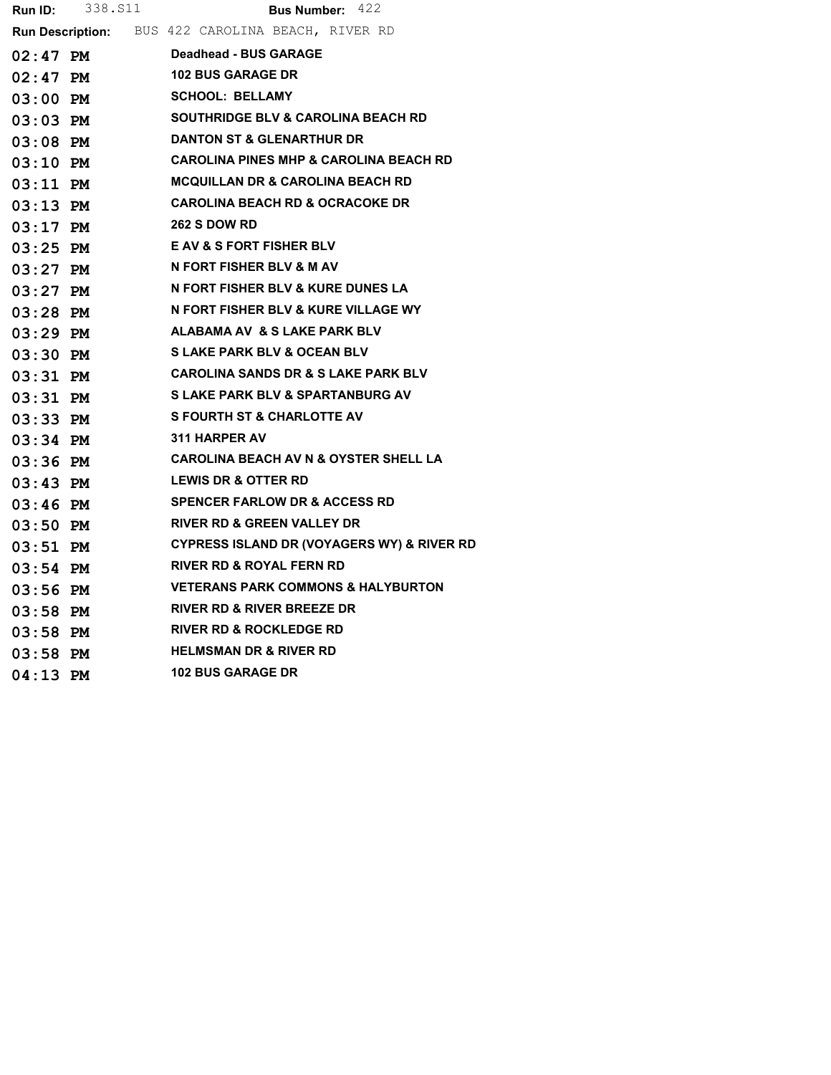| <b>Run ID:</b> | 338.S11 | <b>Bus Number: 422</b>                            |
|----------------|---------|---------------------------------------------------|
|                |         | Run Description: BUS 422 CAROLINA BEACH, RIVER RD |
| $02:47$ PM     |         | <b>Deadhead - BUS GARAGE</b>                      |
| 02:47 PM       |         | <b>102 BUS GARAGE DR</b>                          |
| 03:00 PM       |         | <b>SCHOOL: BELLAMY</b>                            |
| $03:03$ PM     |         | <b>SOUTHRIDGE BLV &amp; CAROLINA BEACH RD</b>     |
| $03:08$ PM     |         | <b>DANTON ST &amp; GLENARTHUR DR</b>              |
| 03:10 PM       |         | <b>CAROLINA PINES MHP &amp; CAROLINA BEACH RD</b> |
| 03:11 PM       |         | MCQUILLAN DR & CAROLINA BEACH RD                  |
| 03:13 PM       |         | <b>CAROLINA BEACH RD &amp; OCRACOKE DR</b>        |
| $03:17$ PM     |         | <b>262 S DOW RD</b>                               |
| $03:25$ PM     |         | <b>E AV &amp; S FORT FISHER BLV</b>               |
| $03:27$ PM     |         | N FORT FISHER BLV & M AV                          |
| 03:27 PM       |         | N FORT FISHER BLV & KURE DUNES LA                 |
| $03:28$ PM     |         | N FORT FISHER BLV & KURE VILLAGE WY               |
| $03:29$ PM     |         | <b>ALABAMA AV &amp; S LAKE PARK BLV</b>           |
| $03:30$ PM     |         | <b>S LAKE PARK BLV &amp; OCEAN BLV</b>            |
| $03:31$ PM     |         | <b>CAROLINA SANDS DR &amp; S LAKE PARK BLV</b>    |
| $03:31$ PM     |         | S LAKE PARK BLV & SPARTANBURG AV                  |
| $03:33$ PM     |         | <b>S FOURTH ST &amp; CHARLOTTE AV</b>             |
| $03:34$ PM     |         | <b>311 HARPER AV</b>                              |
| $03:36$ PM     |         | <b>CAROLINA BEACH AV N &amp; OYSTER SHELL LA</b>  |
| $03:43$ PM     |         | <b>LEWIS DR &amp; OTTER RD</b>                    |
| $03:46$ PM     |         | <b>SPENCER FARLOW DR &amp; ACCESS RD</b>          |
| $03:50$ PM     |         | <b>RIVER RD &amp; GREEN VALLEY DR</b>             |
| $03:51$ PM     |         | CYPRESS ISLAND DR (VOYAGERS WY) & RIVER RD        |
| $03:54$ PM     |         | RIVER RD & ROYAL FERN RD                          |
| $03:56$ PM     |         | <b>VETERANS PARK COMMONS &amp; HALYBURTON</b>     |
| $03:58$ PM     |         | <b>RIVER RD &amp; RIVER BREEZE DR</b>             |
| $03:58$ PM     |         | <b>RIVER RD &amp; ROCKLEDGE RD</b>                |
| 03:58 PM       |         | <b>HELMSMAN DR &amp; RIVER RD</b>                 |
| $04:13$ PM     |         | <b>102 BUS GARAGE DR</b>                          |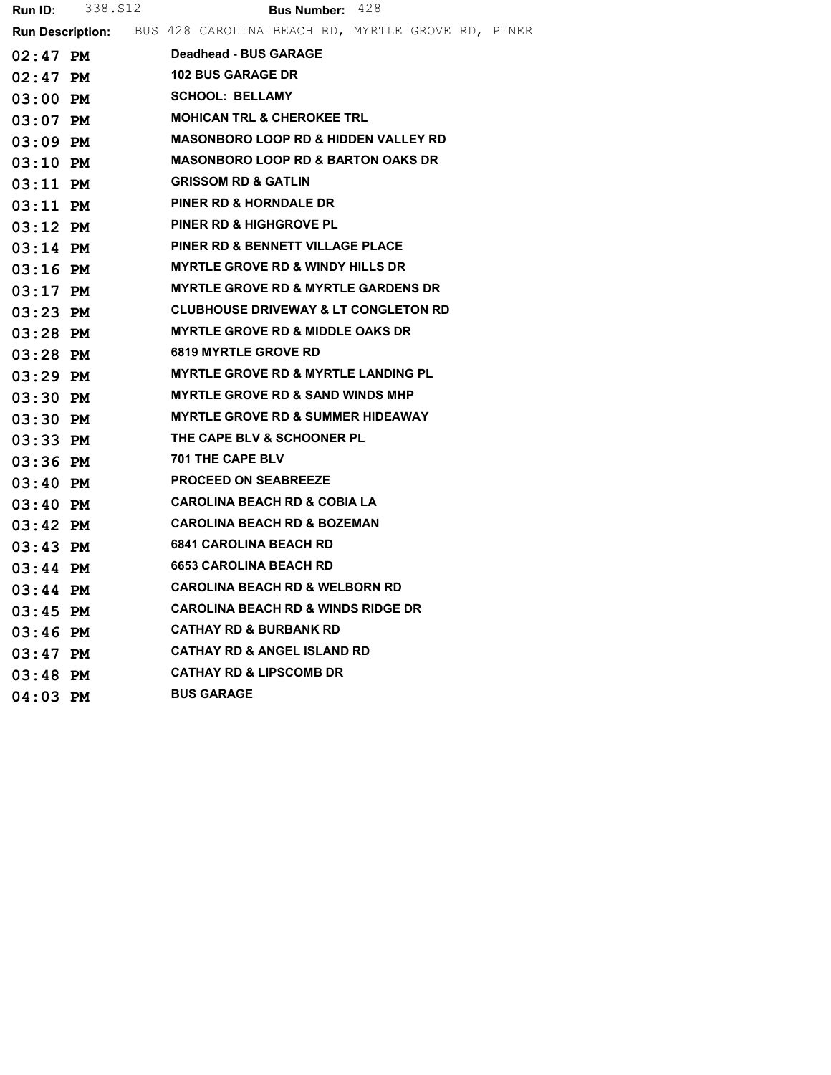| <b>Run ID:</b> | 338.S12 | <b>Bus Number: 428</b>                                                    |
|----------------|---------|---------------------------------------------------------------------------|
|                |         | <b>Run Description:</b> BUS 428 CAROLINA BEACH RD, MYRTLE GROVE RD, PINER |
| $02:47$ PM     |         | <b>Deadhead - BUS GARAGE</b>                                              |
| $02:47$ PM     |         | <b>102 BUS GARAGE DR</b>                                                  |
| $03:00$ PM     |         | <b>SCHOOL: BELLAMY</b>                                                    |
| $03:07$ PM     |         | <b>MOHICAN TRL &amp; CHEROKEE TRL</b>                                     |
| $03:09$ PM     |         | <b>MASONBORO LOOP RD &amp; HIDDEN VALLEY RD</b>                           |
| $03:10$ PM     |         | <b>MASONBORO LOOP RD &amp; BARTON OAKS DR</b>                             |
| $03:11$ PM     |         | <b>GRISSOM RD &amp; GATLIN</b>                                            |
| $03:11$ PM     |         | PINER RD & HORNDALE DR                                                    |
| $03:12$ PM     |         | <b>PINER RD &amp; HIGHGROVE PL</b>                                        |
| $03:14$ PM     |         | <b>PINER RD &amp; BENNETT VILLAGE PLACE</b>                               |
| $03:16$ PM     |         | <b>MYRTLE GROVE RD &amp; WINDY HILLS DR</b>                               |
| $03:17$ PM     |         | <b>MYRTLE GROVE RD &amp; MYRTLE GARDENS DR</b>                            |
| $03:23$ PM     |         | <b>CLUBHOUSE DRIVEWAY &amp; LT CONGLETON RD</b>                           |
| $03:28$ PM     |         | <b>MYRTLE GROVE RD &amp; MIDDLE OAKS DR</b>                               |
| $03:28$ PM     |         | <b>6819 MYRTLE GROVE RD</b>                                               |
| $03:29$ PM     |         | <b>MYRTLE GROVE RD &amp; MYRTLE LANDING PL</b>                            |
| $03:30$ PM     |         | <b>MYRTLE GROVE RD &amp; SAND WINDS MHP</b>                               |
| $03:30$ PM     |         | <b>MYRTLE GROVE RD &amp; SUMMER HIDEAWAY</b>                              |
| $03:33$ PM     |         | THE CAPE BLV & SCHOONER PL                                                |
| $03:36$ PM     |         | <b>701 THE CAPE BLV</b>                                                   |
| $03:40$ PM     |         | <b>PROCEED ON SEABREEZE</b>                                               |
| $03:40$ PM     |         | <b>CAROLINA BEACH RD &amp; COBIA LA</b>                                   |
| $03:42$ PM     |         | <b>CAROLINA BEACH RD &amp; BOZEMAN</b>                                    |
| $03:43$ PM     |         | <b>6841 CAROLINA BEACH RD</b>                                             |
| $03:44$ PM     |         | <b>6653 CAROLINA BEACH RD</b>                                             |
| $03:44$ PM     |         | <b>CAROLINA BEACH RD &amp; WELBORN RD</b>                                 |
| $03:45$ PM     |         | <b>CAROLINA BEACH RD &amp; WINDS RIDGE DR</b>                             |
| $03:46$ PM     |         | <b>CATHAY RD &amp; BURBANK RD</b>                                         |
| $03:47$ PM     |         | <b>CATHAY RD &amp; ANGEL ISLAND RD</b>                                    |
| $03:48$ PM     |         | <b>CATHAY RD &amp; LIPSCOMB DR</b>                                        |
| $04:03$ PM     |         | <b>BUS GARAGE</b>                                                         |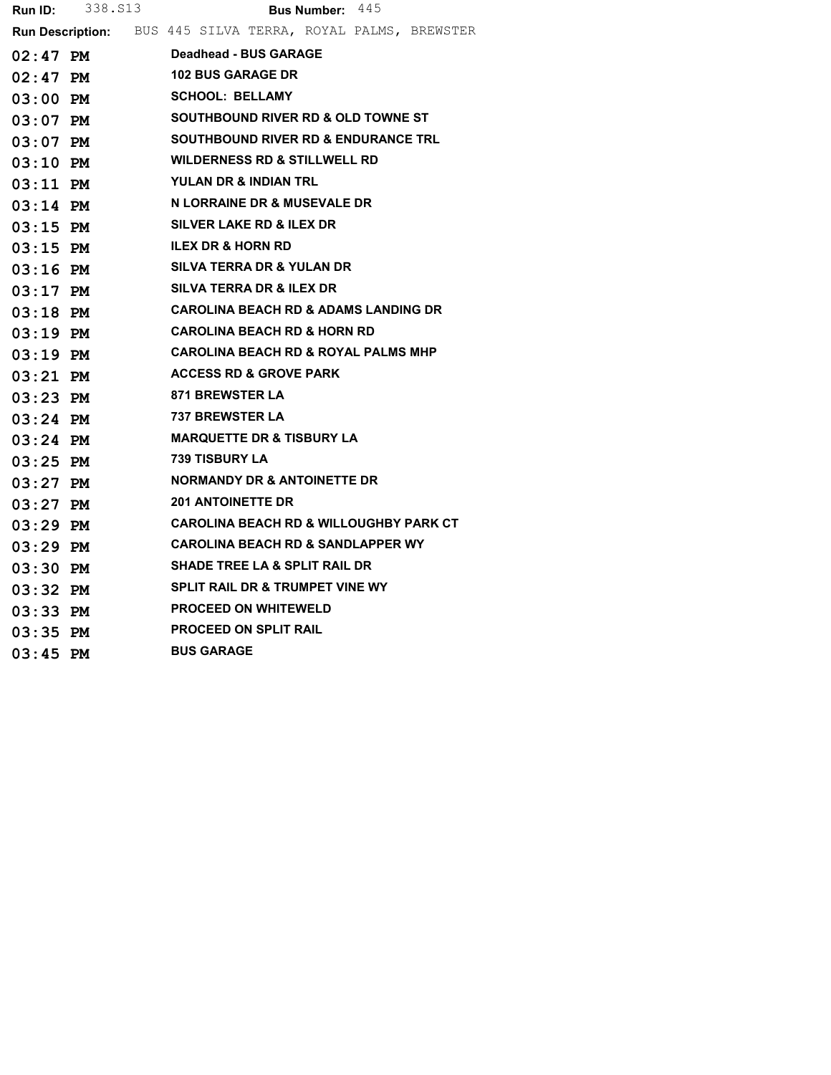|            | <b>Run ID:</b> 338. S13 | Bus Number: 445                                             |  |  |  |  |  |  |  |
|------------|-------------------------|-------------------------------------------------------------|--|--|--|--|--|--|--|
|            |                         | Run Description: BUS 445 SILVA TERRA, ROYAL PALMS, BREWSTER |  |  |  |  |  |  |  |
| 02:47 PM   |                         | <b>Deadhead - BUS GARAGE</b>                                |  |  |  |  |  |  |  |
| $02:47$ PM |                         | <b>102 BUS GARAGE DR</b>                                    |  |  |  |  |  |  |  |
| 03:00 PM   |                         | <b>SCHOOL: BELLAMY</b>                                      |  |  |  |  |  |  |  |
|            | $03:07$ PM              | <b>SOUTHBOUND RIVER RD &amp; OLD TOWNE ST</b>               |  |  |  |  |  |  |  |
| $03:07$ PM |                         | <b>SOUTHBOUND RIVER RD &amp; ENDURANCE TRL</b>              |  |  |  |  |  |  |  |
| $03:10$ PM |                         | <b>WILDERNESS RD &amp; STILLWELL RD</b>                     |  |  |  |  |  |  |  |
| $03:11$ PM |                         | YULAN DR & INDIAN TRL                                       |  |  |  |  |  |  |  |
| $03:14$ PM |                         | N LORRAINE DR & MUSEVALE DR                                 |  |  |  |  |  |  |  |
|            | $03:15$ PM              | SILVER LAKE RD & ILEX DR                                    |  |  |  |  |  |  |  |
|            | $03:15$ PM              | <b>ILEX DR &amp; HORN RD</b>                                |  |  |  |  |  |  |  |
| 03:16 PM   |                         | SILVA TERRA DR & YULAN DR                                   |  |  |  |  |  |  |  |
| $03:17$ PM |                         | SILVA TERRA DR & ILEX DR                                    |  |  |  |  |  |  |  |
| $03:18$ PM |                         | <b>CAROLINA BEACH RD &amp; ADAMS LANDING DR</b>             |  |  |  |  |  |  |  |
| $03:19$ PM |                         | <b>CAROLINA BEACH RD &amp; HORN RD</b>                      |  |  |  |  |  |  |  |
| $03:19$ PM |                         | <b>CAROLINA BEACH RD &amp; ROYAL PALMS MHP</b>              |  |  |  |  |  |  |  |
| 03:21 PM   |                         | <b>ACCESS RD &amp; GROVE PARK</b>                           |  |  |  |  |  |  |  |
| 03:23 PM   |                         | 871 BREWSTER LA                                             |  |  |  |  |  |  |  |
| $03:24$ PM |                         | <b>737 BREWSTER LA</b>                                      |  |  |  |  |  |  |  |
| 03:24 PM   |                         | MARQUETTE DR & TISBURY LA                                   |  |  |  |  |  |  |  |
| $03:25$ PM |                         | <b>739 TISBURY LA</b>                                       |  |  |  |  |  |  |  |
| $03:27$ PM |                         | NORMANDY DR & ANTOINETTE DR                                 |  |  |  |  |  |  |  |
| $03:27$ PM |                         | <b>201 ANTOINETTE DR</b>                                    |  |  |  |  |  |  |  |
| 03:29 PM   |                         | <b>CAROLINA BEACH RD &amp; WILLOUGHBY PARK CT</b>           |  |  |  |  |  |  |  |
| $03:29$ PM |                         | <b>CAROLINA BEACH RD &amp; SANDLAPPER WY</b>                |  |  |  |  |  |  |  |
| 03:30 PM   |                         | <b>SHADE TREE LA &amp; SPLIT RAIL DR</b>                    |  |  |  |  |  |  |  |
| $03:32$ PM |                         | SPLIT RAIL DR & TRUMPET VINE WY                             |  |  |  |  |  |  |  |
| $03:33$ PM |                         | <b>PROCEED ON WHITEWELD</b>                                 |  |  |  |  |  |  |  |
| 03:35 PM   |                         | <b>PROCEED ON SPLIT RAIL</b>                                |  |  |  |  |  |  |  |
| $03:45$ PM |                         | <b>BUS GARAGE</b>                                           |  |  |  |  |  |  |  |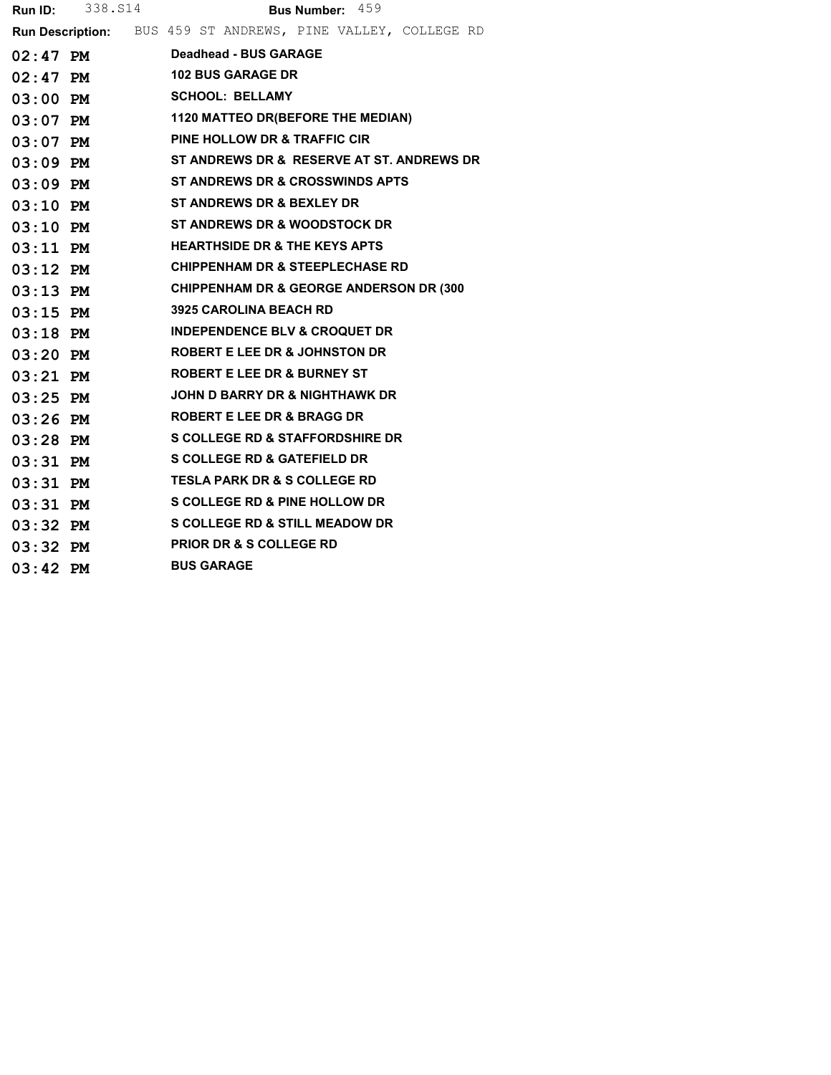| Run ID:    | 338.S14 | Bus Number: 459                                              |
|------------|---------|--------------------------------------------------------------|
|            |         | Run Description: BUS 459 ST ANDREWS, PINE VALLEY, COLLEGE RD |
| $02:47$ PM |         | Deadhead - BUS GARAGE                                        |
| $02:47$ PM |         | <b>102 BUS GARAGE DR</b>                                     |
| $03:00$ PM |         | <b>SCHOOL: BELLAMY</b>                                       |
| $03:07$ PM |         | <b>1120 MATTEO DR(BEFORE THE MEDIAN)</b>                     |
| $03:07$ PM |         | <b>PINE HOLLOW DR &amp; TRAFFIC CIR</b>                      |
| $03:09$ PM |         | ST ANDREWS DR &  RESERVE AT ST. ANDREWS DR                   |
| $03:09$ PM |         | <b>ST ANDREWS DR &amp; CROSSWINDS APTS</b>                   |
| $03:10$ PM |         | <b>ST ANDREWS DR &amp; BEXLEY DR</b>                         |
| $03:10$ PM |         | <b>ST ANDREWS DR &amp; WOODSTOCK DR</b>                      |
| $03:11$ PM |         | <b>HEARTHSIDE DR &amp; THE KEYS APTS</b>                     |
| $03:12$ PM |         | <b>CHIPPENHAM DR &amp; STEEPLECHASE RD</b>                   |
| $03:13$ PM |         | <b>CHIPPENHAM DR &amp; GEORGE ANDERSON DR (300</b>           |
| $03:15$ PM |         | <b>3925 CAROLINA BEACH RD</b>                                |
| $03:18$ PM |         | <b>INDEPENDENCE BLV &amp; CROQUET DR</b>                     |
| $03:20$ PM |         | <b>ROBERT E LEE DR &amp; JOHNSTON DR</b>                     |
| $03:21$ PM |         | <b>ROBERT E LEE DR &amp; BURNEY ST</b>                       |
| $03:25$ PM |         | <b>JOHN D BARRY DR &amp; NIGHTHAWK DR</b>                    |
| $03:26$ PM |         | <b>ROBERT E LEE DR &amp; BRAGG DR</b>                        |
| $03:28$ PM |         | <b>S COLLEGE RD &amp; STAFFORDSHIRE DR</b>                   |
| $03:31$ PM |         | <b>S COLLEGE RD &amp; GATEFIELD DR</b>                       |
| $03:31$ PM |         | <b>TESLA PARK DR &amp; S COLLEGE RD</b>                      |
| $03:31$ PM |         | <b>S COLLEGE RD &amp; PINE HOLLOW DR</b>                     |
| $03:32$ PM |         | <b>S COLLEGE RD &amp; STILL MEADOW DR</b>                    |
| $03:32$ PM |         | <b>PRIOR DR &amp; S COLLEGE RD</b>                           |
| $03:42$ PM |         | <b>BUS GARAGE</b>                                            |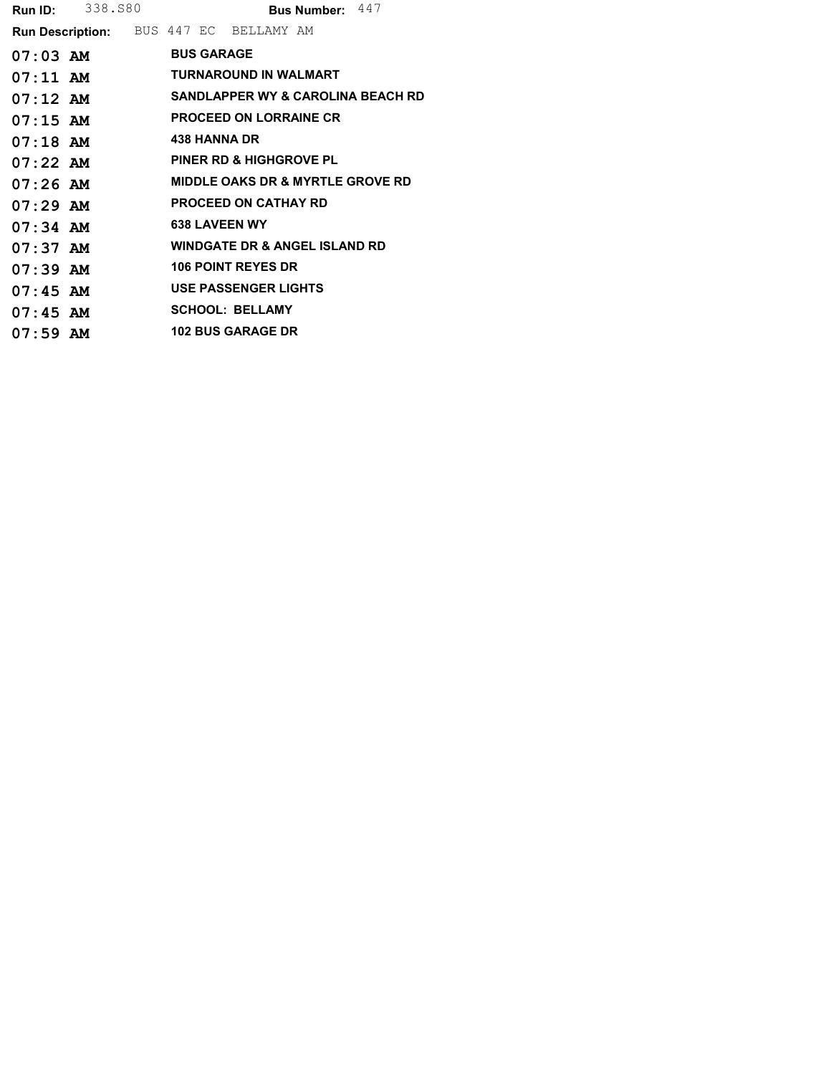|                                               | <b>Run ID:</b> 338.580 |  |                   |                                             | Bus Number: 447 |                                              |
|-----------------------------------------------|------------------------|--|-------------------|---------------------------------------------|-----------------|----------------------------------------------|
| <b>Run Description:</b> BUS 447 EC BELLAMY AM |                        |  |                   |                                             |                 |                                              |
| $07:03$ AM                                    |                        |  | <b>BUS GARAGE</b> |                                             |                 |                                              |
| $07:11$ AM                                    |                        |  |                   | <b>TURNAROUND IN WALMART</b>                |                 |                                              |
| $07:12$ AM                                    |                        |  |                   |                                             |                 | <b>SANDLAPPER WY &amp; CAROLINA BEACH RD</b> |
| $07:15$ AM                                    |                        |  |                   | <b>PROCEED ON LORRAINE CR</b>               |                 |                                              |
| $07:18$ AM                                    |                        |  |                   | <b>438 HANNA DR</b>                         |                 |                                              |
| $07:22$ AM                                    |                        |  |                   | <b>PINER RD &amp; HIGHGROVE PL</b>          |                 |                                              |
| $07:26$ AM                                    |                        |  |                   | <b>MIDDLE OAKS DR &amp; MYRTLE GROVE RD</b> |                 |                                              |
| $07:29$ AM                                    |                        |  |                   | <b>PROCEED ON CATHAY RD</b>                 |                 |                                              |
| $07:34$ AM                                    |                        |  |                   | <b>638 LAVEEN WY</b>                        |                 |                                              |
| $07:37$ AM                                    |                        |  |                   | <b>WINDGATE DR &amp; ANGEL ISLAND RD</b>    |                 |                                              |
| $07:39$ AM                                    |                        |  |                   | <b>106 POINT REYES DR</b>                   |                 |                                              |
| $07:45$ AM                                    |                        |  |                   | <b>USE PASSENGER LIGHTS</b>                 |                 |                                              |
| $07:45$ AM                                    |                        |  |                   | <b>SCHOOL: BELLAMY</b>                      |                 |                                              |
| $07:59$ AM                                    |                        |  |                   | <b>102 BUS GARAGE DR</b>                    |                 |                                              |